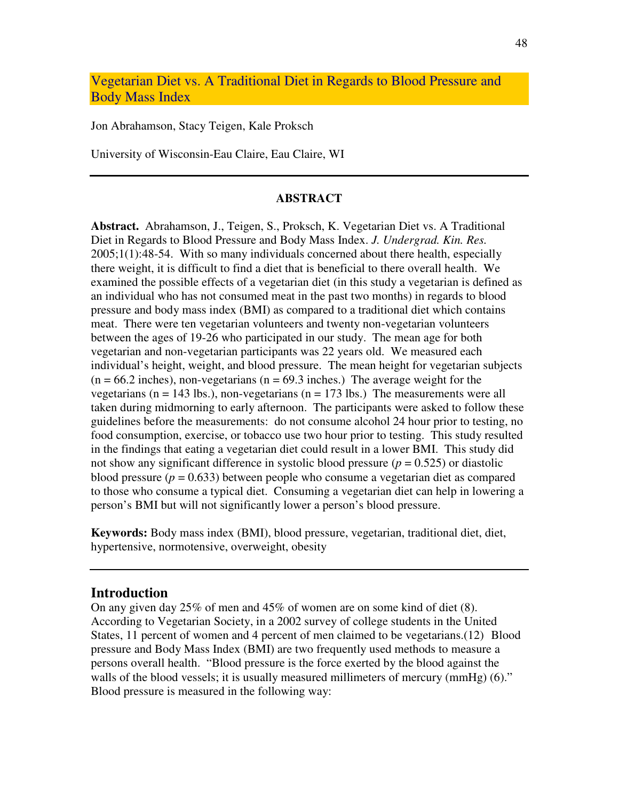Vegetarian Diet vs. A Traditional Diet in Regards to Blood Pressure and Body Mass Index

Jon Abrahamson, Stacy Teigen, Kale Proksch

University of Wisconsin-Eau Claire, Eau Claire, WI

#### **ABSTRACT**

**Abstract.** Abrahamson, J., Teigen, S., Proksch, K. Vegetarian Diet vs. A Traditional Diet in Regards to Blood Pressure and Body Mass Index. *J. Undergrad. Kin. Res.* 2005;1(1):48-54. With so many individuals concerned about there health, especially there weight, it is difficult to find a diet that is beneficial to there overall health. We examined the possible effects of a vegetarian diet (in this study a vegetarian is defined as an individual who has not consumed meat in the past two months) in regards to blood pressure and body mass index (BMI) as compared to a traditional diet which contains meat. There were ten vegetarian volunteers and twenty non-vegetarian volunteers between the ages of 19-26 who participated in our study. The mean age for both vegetarian and non-vegetarian participants was 22 years old. We measured each individual's height, weight, and blood pressure. The mean height for vegetarian subjects  $(n = 66.2 \text{ inches})$ , non-vegetarians  $(n = 69.3 \text{ inches})$ . The average weight for the vegetarians ( $n = 143$  lbs.), non-vegetarians ( $n = 173$  lbs.) The measurements were all taken during midmorning to early afternoon. The participants were asked to follow these guidelines before the measurements: do not consume alcohol 24 hour prior to testing, no food consumption, exercise, or tobacco use two hour prior to testing. This study resulted in the findings that eating a vegetarian diet could result in a lower BMI. This study did not show any significant difference in systolic blood pressure  $(p = 0.525)$  or diastolic blood pressure  $(p = 0.633)$  between people who consume a vegetarian diet as compared to those who consume a typical diet. Consuming a vegetarian diet can help in lowering a person's BMI but will not significantly lower a person's blood pressure.

**Keywords:** Body mass index (BMI), blood pressure, vegetarian, traditional diet, diet, hypertensive, normotensive, overweight, obesity

### **Introduction**

On any given day  $25\%$  of men and  $45\%$  of women are on some kind of diet (8). According to Vegetarian Society, in a 2002 survey of college students in the United States, 11 percent of women and 4 percent of men claimed to be vegetarians.(12) Blood pressure and Body Mass Index (BMI) are two frequently used methods to measure a persons overall health. "Blood pressure is the force exerted by the blood against the walls of the blood vessels; it is usually measured millimeters of mercury (mmHg) (6)." Blood pressure is measured in the following way: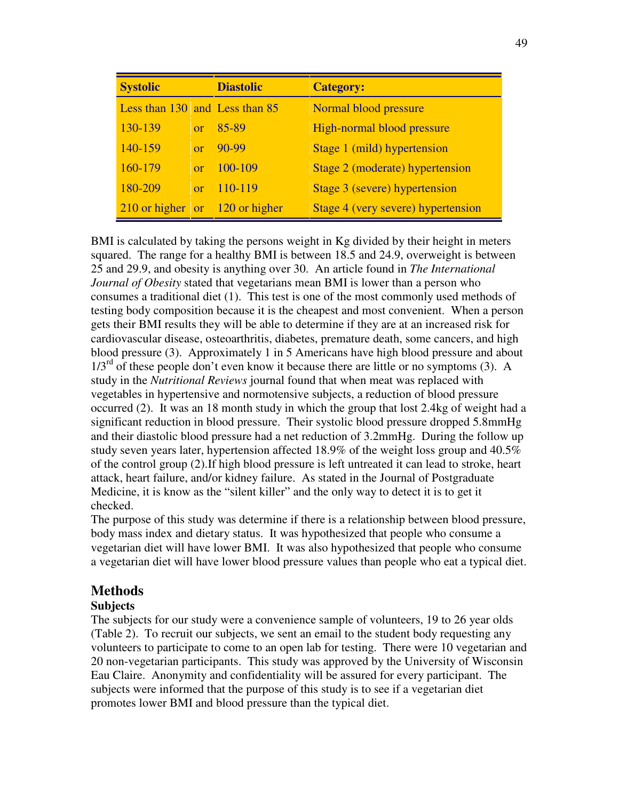| <b>Systolic</b>                  |            | <b>Diastolic</b> | <b>Category:</b>                   |
|----------------------------------|------------|------------------|------------------------------------|
| Less than 130 and Less than 85   |            |                  | Normal blood pressure              |
| 130-139                          |            | or $85-89$       | High-normal blood pressure         |
| 140-159                          | $\alpha$ r | $90-99$          | Stage 1 (mild) hypertension        |
| 160-179                          | or         | $100-109$        | Stage 2 (moderate) hypertension    |
| 180-209                          | or         | $-110-119$       | Stage 3 (severe) hypertension      |
| $210$ or higher or 120 or higher |            |                  | Stage 4 (very severe) hypertension |

BMI is calculated by taking the persons weight in Kg divided by their height in meters squared. The range for a healthy BMI is between 18.5 and 24.9, overweight is between 25 and 29.9, and obesity is anything over 30. An article found in *The International Journal of Obesity* stated that vegetarians mean BMI is lower than a person who consumes a traditional diet (1). This test is one of the most commonly used methods of testing body composition because it is the cheapest and most convenient. When a person gets their BMI results they will be able to determine if they are at an increased risk for cardiovascular disease, osteoarthritis, diabetes, premature death, some cancers, and high blood pressure (3). Approximately 1 in 5 Americans have high blood pressure and about  $1/3<sup>rd</sup>$  of these people don't even know it because there are little or no symptoms (3). A study in the *Nutritional Reviews* journal found that when meat was replaced with vegetables in hypertensive and normotensive subjects, a reduction of blood pressure occurred (2). It was an 18 month study in which the group that lost 2.4kg of weight had a significant reduction in blood pressure. Their systolic blood pressure dropped 5.8mmHg and their diastolic blood pressure had a net reduction of 3.2mmHg. During the follow up study seven years later, hypertension affected 18.9% of the weight loss group and 40.5% of the control group (2).If high blood pressure is left untreated it can lead to stroke, heart attack, heart failure, and/or kidney failure. As stated in the Journal of Postgraduate Medicine, it is know as the "silent killer" and the only way to detect it is to get it checked.

The purpose of this study was determine if there is a relationship between blood pressure, body mass index and dietary status. It was hypothesized that people who consume a vegetarian diet will have lower BMI. It was also hypothesized that people who consume a vegetarian diet will have lower blood pressure values than people who eat a typical diet.

# **Methods**

## **Subjects**

The subjects for our study were a convenience sample of volunteers, 19 to 26 year olds (Table 2). To recruit our subjects, we sent an email to the student body requesting any volunteers to participate to come to an open lab for testing. There were 10 vegetarian and 20 non-vegetarian participants. This study was approved by the University of Wisconsin Eau Claire. Anonymity and confidentiality will be assured for every participant. The subjects were informed that the purpose of this study is to see if a vegetarian diet promotes lower BMI and blood pressure than the typical diet.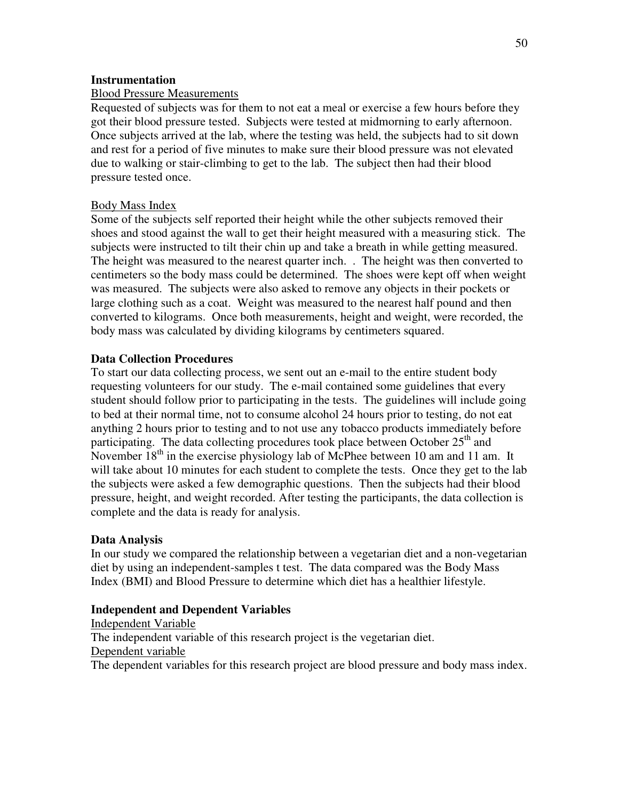## **Instrumentation**

## Blood Pressure Measurements

Requested of subjects was for them to not eat a meal or exercise a few hours before they got their blood pressure tested. Subjects were tested at midmorning to early afternoon. Once subjects arrived at the lab, where the testing was held, the subjects had to sit down and rest for a period of five minutes to make sure their blood pressure was not elevated due to walking or stair-climbing to get to the lab. The subject then had their blood pressure tested once.

## Body Mass Index

Some of the subjects self reported their height while the other subjects removed their shoes and stood against the wall to get their height measured with a measuring stick. The subjects were instructed to tilt their chin up and take a breath in while getting measured. The height was measured to the nearest quarter inch. . The height was then converted to centimeters so the body mass could be determined. The shoes were kept off when weight was measured. The subjects were also asked to remove any objects in their pockets or large clothing such as a coat. Weight was measured to the nearest half pound and then converted to kilograms. Once both measurements, height and weight, were recorded, the body mass was calculated by dividing kilograms by centimeters squared.

## **Data Collection Procedures**

To start our data collecting process, we sent out an e-mail to the entire student body requesting volunteers for our study. The e-mail contained some guidelines that every student should follow prior to participating in the tests. The guidelines will include going to bed at their normal time, not to consume alcohol 24 hours prior to testing, do not eat anything 2 hours prior to testing and to not use any tobacco products immediately before participating. The data collecting procedures took place between October 25<sup>th</sup> and November 18<sup>th</sup> in the exercise physiology lab of McPhee between 10 am and 11 am. It will take about 10 minutes for each student to complete the tests. Once they get to the lab the subjects were asked a few demographic questions. Then the subjects had their blood pressure, height, and weight recorded. After testing the participants, the data collection is complete and the data is ready for analysis.

## **Data Analysis**

In our study we compared the relationship between a vegetarian diet and a non-vegetarian diet by using an independent-samples t test. The data compared was the Body Mass Index (BMI) and Blood Pressure to determine which diet has a healthier lifestyle.

## **Independent and Dependent Variables**

Independent Variable The independent variable of this research project is the vegetarian diet. Dependent variable The dependent variables for this research project are blood pressure and body mass index.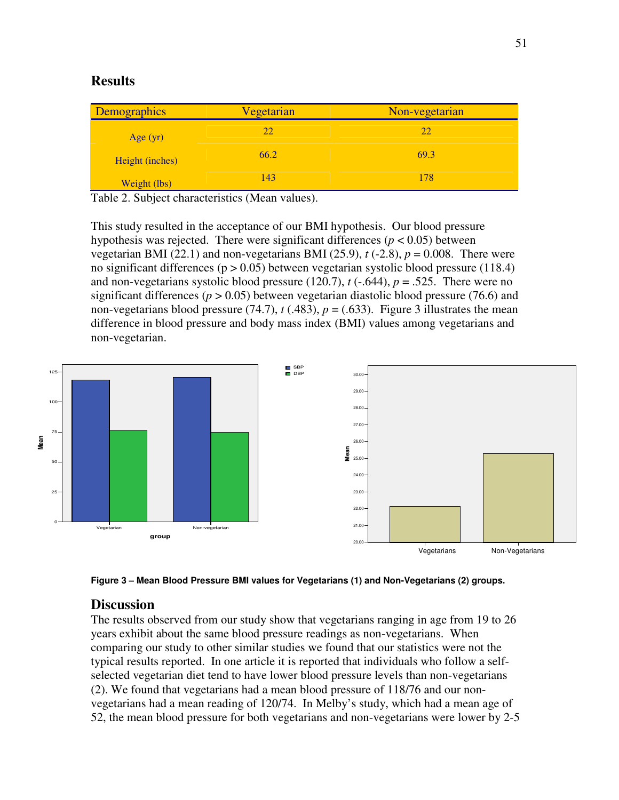# **Results**

| Demographics    | Vegetarian | Non-vegetarian |
|-----------------|------------|----------------|
| Age $(yr)$      | 22         | 22             |
| Height (inches) | 66.2       | 69.3           |
| Weight (lbs)    | 143        | 178            |

Table 2. Subject characteristics (Mean values).

This study resulted in the acceptance of our BMI hypothesis. Our blood pressure hypothesis was rejected. There were significant differences ( $p < 0.05$ ) between vegetarian BMI (22.1) and non-vegetarians BMI (25.9),  $t(-2.8)$ ,  $p = 0.008$ . There were no significant differences ( $p > 0.05$ ) between vegetarian systolic blood pressure (118.4) and non-vegetarians systolic blood pressure  $(120.7)$ ,  $t(-.644)$ ,  $p = .525$ . There were no significant differences ( $p > 0.05$ ) between vegetarian diastolic blood pressure (76.6) and non-vegetarians blood pressure (74.7),  $t$  (.483),  $p = (0.633)$ . Figure 3 illustrates the mean difference in blood pressure and body mass index (BMI) values among vegetarians and non-vegetarian.



**Figure 3 – Mean Blood Pressure BMI values for Vegetarians (1) and Non-Vegetarians (2) groups.**

## **Discussion**

The results observed from our study show that vegetarians ranging in age from 19 to 26 years exhibit about the same blood pressure readings as non-vegetarians. When comparing our study to other similar studies we found that our statistics were not the typical results reported. In one article it is reported that individuals who follow a selfselected vegetarian diet tend to have lower blood pressure levels than non-vegetarians (2). We found that vegetarians had a mean blood pressure of 118/76 and our nonvegetarians had a mean reading of 120/74. In Melby's study, which had a mean age of 52, the mean blood pressure for both vegetarians and non-vegetarians were lower by 2-5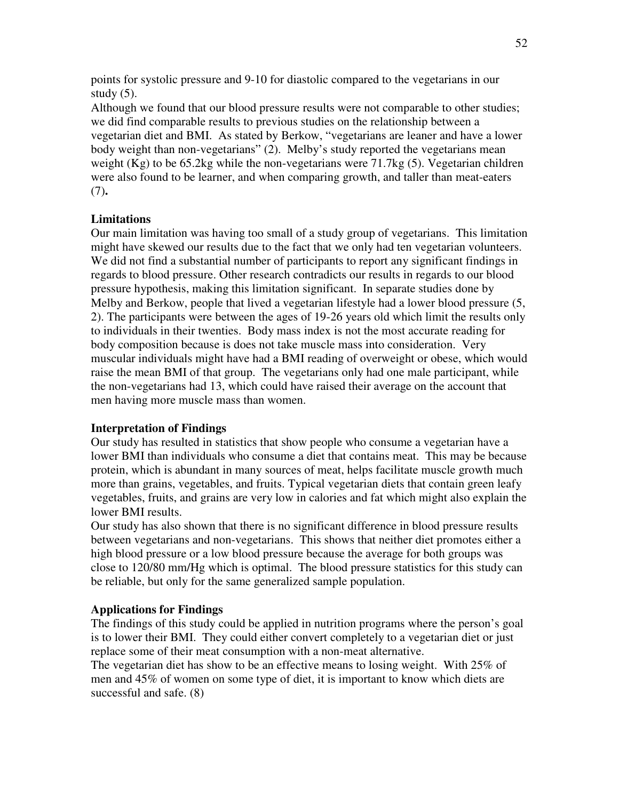points for systolic pressure and 9-10 for diastolic compared to the vegetarians in our study  $(5)$ .

Although we found that our blood pressure results were not comparable to other studies; we did find comparable results to previous studies on the relationship between a vegetarian diet and BMI. As stated by Berkow, "vegetarians are leaner and have a lower body weight than non-vegetarians" (2). Melby's study reported the vegetarians mean weight (Kg) to be 65.2kg while the non-vegetarians were 71.7kg (5). Vegetarian children were also found to be learner, and when comparing growth, and taller than meat-eaters (7)**.**

## **Limitations**

Our main limitation was having too small of a study group of vegetarians. This limitation might have skewed our results due to the fact that we only had ten vegetarian volunteers. We did not find a substantial number of participants to report any significant findings in regards to blood pressure. Other research contradicts our results in regards to our blood pressure hypothesis, making this limitation significant. In separate studies done by Melby and Berkow, people that lived a vegetarian lifestyle had a lower blood pressure (5, 2). The participants were between the ages of 19-26 years old which limit the results only to individuals in their twenties. Body mass index is not the most accurate reading for body composition because is does not take muscle mass into consideration. Very muscular individuals might have had a BMI reading of overweight or obese, which would raise the mean BMI of that group. The vegetarians only had one male participant, while the non-vegetarians had 13, which could have raised their average on the account that men having more muscle mass than women.

## **Interpretation of Findings**

Our study has resulted in statistics that show people who consume a vegetarian have a lower BMI than individuals who consume a diet that contains meat. This may be because protein, which is abundant in many sources of meat, helps facilitate muscle growth much more than grains, vegetables, and fruits. Typical vegetarian diets that contain green leafy vegetables, fruits, and grains are very low in calories and fat which might also explain the lower BMI results.

Our study has also shown that there is no significant difference in blood pressure results between vegetarians and non-vegetarians. This shows that neither diet promotes either a high blood pressure or a low blood pressure because the average for both groups was close to 120/80 mm/Hg which is optimal. The blood pressure statistics for this study can be reliable, but only for the same generalized sample population.

### **Applications for Findings**

The findings of this study could be applied in nutrition programs where the person's goal is to lower their BMI. They could either convert completely to a vegetarian diet or just replace some of their meat consumption with a non-meat alternative.

The vegetarian diet has show to be an effective means to losing weight. With 25% of men and 45% of women on some type of diet, it is important to know which diets are successful and safe. (8)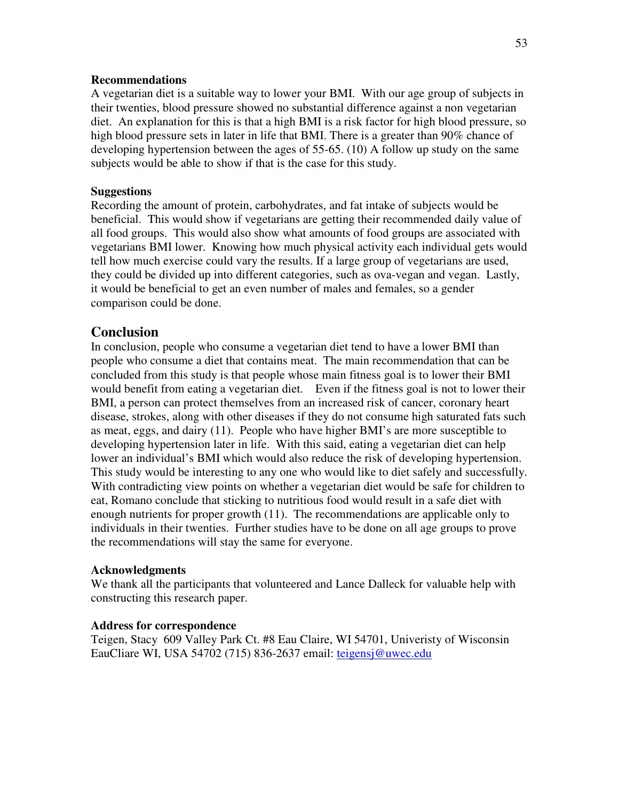### **Recommendations**

A vegetarian diet is a suitable way to lower your BMI. With our age group of subjects in their twenties, blood pressure showed no substantial difference against a non vegetarian diet. An explanation for this is that a high BMI is a risk factor for high blood pressure, so high blood pressure sets in later in life that BMI. There is a greater than 90% chance of developing hypertension between the ages of 55-65. (10) A follow up study on the same subjects would be able to show if that is the case for this study.

### **Suggestions**

Recording the amount of protein, carbohydrates, and fat intake of subjects would be beneficial. This would show if vegetarians are getting their recommended daily value of all food groups. This would also show what amounts of food groups are associated with vegetarians BMI lower. Knowing how much physical activity each individual gets would tell how much exercise could vary the results. If a large group of vegetarians are used, they could be divided up into different categories, such as ova-vegan and vegan. Lastly, it would be beneficial to get an even number of males and females, so a gender comparison could be done.

## **Conclusion**

In conclusion, people who consume a vegetarian diet tend to have a lower BMI than people who consume a diet that contains meat. The main recommendation that can be concluded from this study is that people whose main fitness goal is to lower their BMI would benefit from eating a vegetarian diet. Even if the fitness goal is not to lower their BMI, a person can protect themselves from an increased risk of cancer, coronary heart disease, strokes, along with other diseases if they do not consume high saturated fats such as meat, eggs, and dairy (11). People who have higher BMI's are more susceptible to developing hypertension later in life. With this said, eating a vegetarian diet can help lower an individual's BMI which would also reduce the risk of developing hypertension. This study would be interesting to any one who would like to diet safely and successfully. With contradicting view points on whether a vegetarian diet would be safe for children to eat, Romano conclude that sticking to nutritious food would result in a safe diet with enough nutrients for proper growth (11). The recommendations are applicable only to individuals in their twenties. Further studies have to be done on all age groups to prove the recommendations will stay the same for everyone.

### **Acknowledgments**

We thank all the participants that volunteered and Lance Dalleck for valuable help with constructing this research paper.

### **Address for correspondence**

Teigen, Stacy 609 Valley Park Ct. #8 Eau Claire, WI 54701, Univeristy of Wisconsin EauCliare WI, USA 54702 (715) 836-2637 email: teigensj@uwec.edu